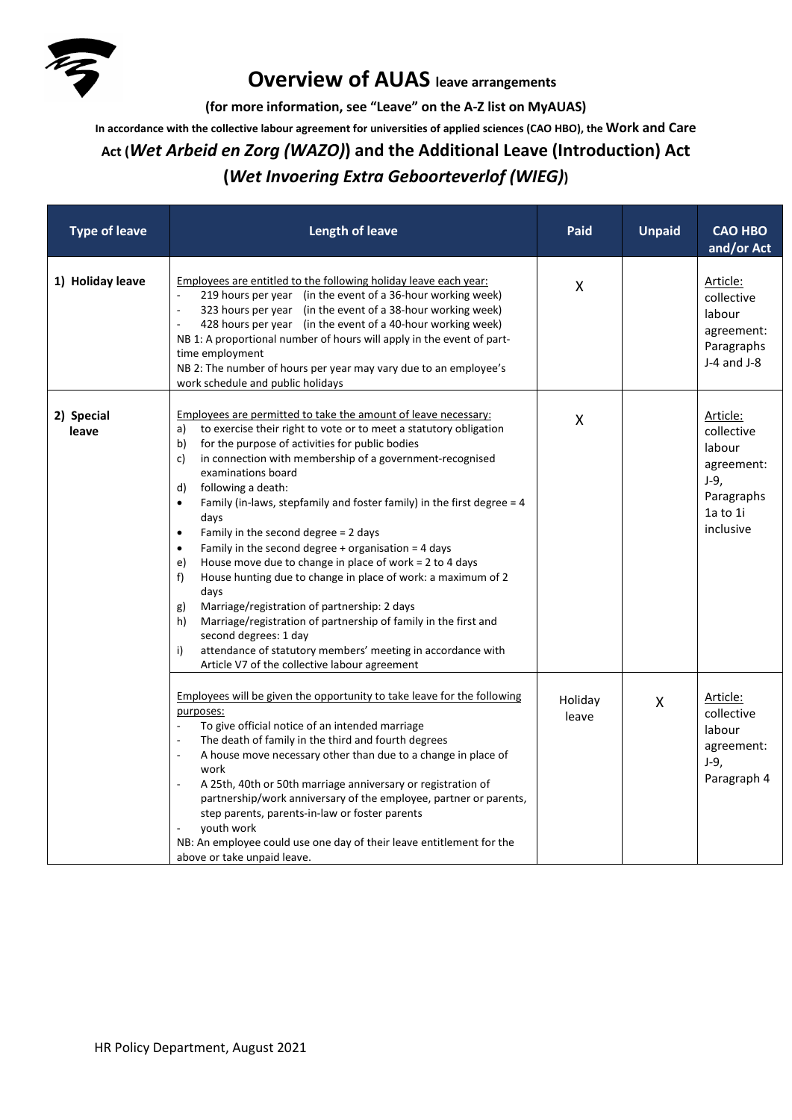

## **Overview of AUAS** leave arrangements

**(for more information, see "Leave" on the A-Z list on MyAUAS)**

**In accordance with the collective labour agreement for universities of applied sciences (CAO HBO), the Work and Care** 

## **Act (***Wet Arbeid en Zorg (WAZO)***) and the Additional Leave (Introduction) Act**

## **(***Wet Invoering Extra Geboorteverlof (WIEG)***)**

| <b>Type of leave</b> | <b>Length of leave</b>                                                                                                                                                                                                                                                                                                                                                                                                                                                                                                                                                                                                                                                                                                                                                                                                                                                                                                                                                          | Paid             | <b>Unpaid</b> | <b>CAO HBO</b><br>and/or Act                                                                    |
|----------------------|---------------------------------------------------------------------------------------------------------------------------------------------------------------------------------------------------------------------------------------------------------------------------------------------------------------------------------------------------------------------------------------------------------------------------------------------------------------------------------------------------------------------------------------------------------------------------------------------------------------------------------------------------------------------------------------------------------------------------------------------------------------------------------------------------------------------------------------------------------------------------------------------------------------------------------------------------------------------------------|------------------|---------------|-------------------------------------------------------------------------------------------------|
| 1) Holiday leave     | Employees are entitled to the following holiday leave each year:<br>219 hours per year (in the event of a 36-hour working week)<br>323 hours per year (in the event of a 38-hour working week)<br>L.<br>428 hours per year (in the event of a 40-hour working week)<br>÷,<br>NB 1: A proportional number of hours will apply in the event of part-<br>time employment<br>NB 2: The number of hours per year may vary due to an employee's<br>work schedule and public holidays                                                                                                                                                                                                                                                                                                                                                                                                                                                                                                  | $\sf X$          |               | Article:<br>collective<br>labour<br>agreement:<br>Paragraphs<br>$J-4$ and $J-8$                 |
| 2) Special<br>leave  | Employees are permitted to take the amount of leave necessary:<br>to exercise their right to vote or to meet a statutory obligation<br>a)<br>for the purpose of activities for public bodies<br>b)<br>c)<br>in connection with membership of a government-recognised<br>examinations board<br>following a death:<br>d)<br>Family (in-laws, stepfamily and foster family) in the first degree $= 4$<br>$\bullet$<br>days<br>Family in the second degree = 2 days<br>$\bullet$<br>Family in the second degree $+$ organisation = 4 days<br>$\bullet$<br>House move due to change in place of work = 2 to 4 days<br>e)<br>f)<br>House hunting due to change in place of work: a maximum of 2<br>days<br>Marriage/registration of partnership: 2 days<br>g)<br>Marriage/registration of partnership of family in the first and<br>h)<br>second degrees: 1 day<br>attendance of statutory members' meeting in accordance with<br>i)<br>Article V7 of the collective labour agreement | $\mathsf{X}$     |               | Article:<br>collective<br>labour<br>agreement:<br>$J-9,$<br>Paragraphs<br>1a to 1i<br>inclusive |
|                      | Employees will be given the opportunity to take leave for the following<br>purposes:<br>To give official notice of an intended marriage<br>The death of family in the third and fourth degrees<br>A house move necessary other than due to a change in place of<br>$\blacksquare$<br>work<br>A 25th, 40th or 50th marriage anniversary or registration of<br>L.<br>partnership/work anniversary of the employee, partner or parents,<br>step parents, parents-in-law or foster parents<br>youth work<br>NB: An employee could use one day of their leave entitlement for the<br>above or take unpaid leave.                                                                                                                                                                                                                                                                                                                                                                     | Holiday<br>leave | X             | Article:<br>collective<br>labour<br>agreement:<br>$J-9,$<br>Paragraph 4                         |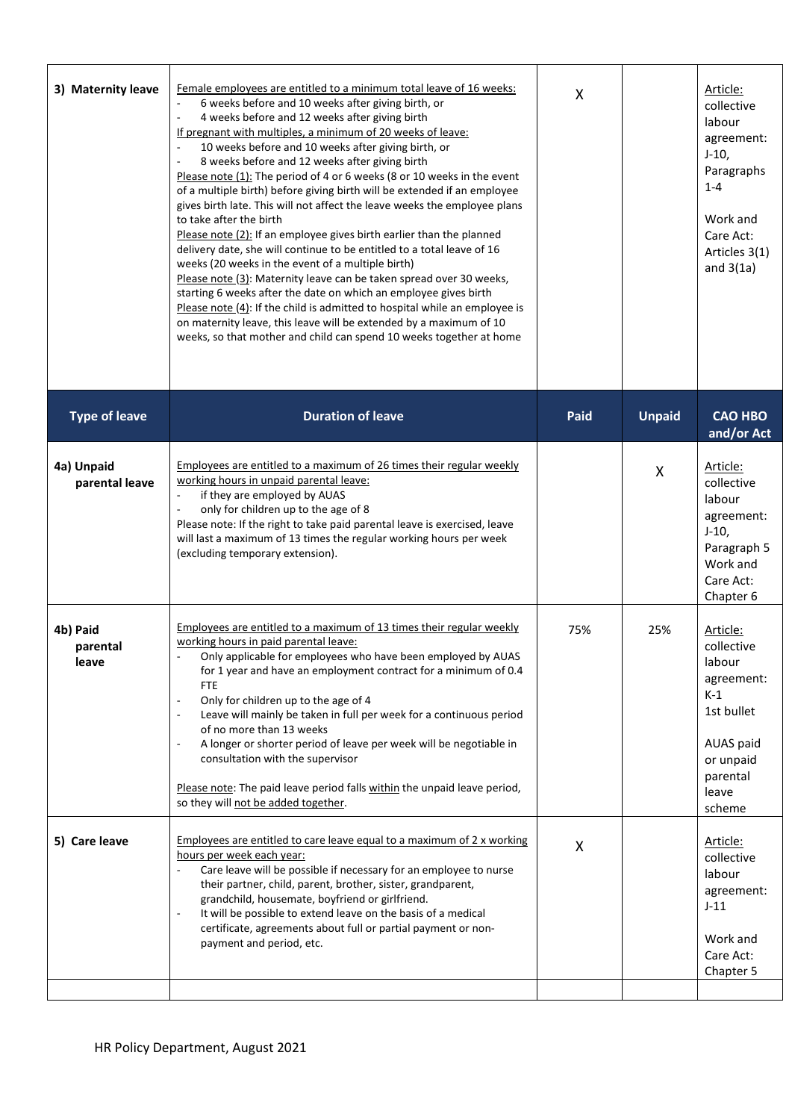| 3) Maternity leave            | Female employees are entitled to a minimum total leave of 16 weeks:<br>6 weeks before and 10 weeks after giving birth, or<br>4 weeks before and 12 weeks after giving birth<br>$\overline{a}$<br>If pregnant with multiples, a minimum of 20 weeks of leave:<br>10 weeks before and 10 weeks after giving birth, or<br>8 weeks before and 12 weeks after giving birth<br>Please note (1): The period of 4 or 6 weeks (8 or 10 weeks in the event<br>of a multiple birth) before giving birth will be extended if an employee<br>gives birth late. This will not affect the leave weeks the employee plans<br>to take after the birth<br>Please note (2): If an employee gives birth earlier than the planned<br>delivery date, she will continue to be entitled to a total leave of 16<br>weeks (20 weeks in the event of a multiple birth)<br>Please note (3): Maternity leave can be taken spread over 30 weeks,<br>starting 6 weeks after the date on which an employee gives birth<br>Please note $(4)$ : If the child is admitted to hospital while an employee is<br>on maternity leave, this leave will be extended by a maximum of 10<br>weeks, so that mother and child can spend 10 weeks together at home | X    |               | Article:<br>collective<br>labour<br>agreement:<br>$J-10,$<br>Paragraphs<br>$1 - 4$<br>Work and<br>Care Act:<br>Articles 3(1)<br>and $3(1a)$ |
|-------------------------------|----------------------------------------------------------------------------------------------------------------------------------------------------------------------------------------------------------------------------------------------------------------------------------------------------------------------------------------------------------------------------------------------------------------------------------------------------------------------------------------------------------------------------------------------------------------------------------------------------------------------------------------------------------------------------------------------------------------------------------------------------------------------------------------------------------------------------------------------------------------------------------------------------------------------------------------------------------------------------------------------------------------------------------------------------------------------------------------------------------------------------------------------------------------------------------------------------------------------|------|---------------|---------------------------------------------------------------------------------------------------------------------------------------------|
| <b>Type of leave</b>          | <b>Duration of leave</b>                                                                                                                                                                                                                                                                                                                                                                                                                                                                                                                                                                                                                                                                                                                                                                                                                                                                                                                                                                                                                                                                                                                                                                                             | Paid | <b>Unpaid</b> | <b>CAO HBO</b><br>and/or Act                                                                                                                |
| 4a) Unpaid<br>parental leave  | Employees are entitled to a maximum of 26 times their regular weekly<br>working hours in unpaid parental leave:<br>if they are employed by AUAS<br>only for children up to the age of 8<br>Please note: If the right to take paid parental leave is exercised, leave<br>will last a maximum of 13 times the regular working hours per week<br>(excluding temporary extension).                                                                                                                                                                                                                                                                                                                                                                                                                                                                                                                                                                                                                                                                                                                                                                                                                                       |      | X             | Article:<br>collective<br>labour<br>agreement:<br>$J-10,$<br>Paragraph 5<br>Work and<br>Care Act:<br>Chapter 6                              |
| 4b) Paid<br>parental<br>leave | Employees are entitled to a maximum of 13 times their regular weekly<br>working hours in paid parental leave:<br>Only applicable for employees who have been employed by AUAS<br>÷<br>for 1 year and have an employment contract for a minimum of 0.4<br><b>FTE</b><br>Only for children up to the age of 4<br>$\overline{\phantom{a}}$<br>Leave will mainly be taken in full per week for a continuous period<br>$\overline{\phantom{a}}$<br>of no more than 13 weeks<br>A longer or shorter period of leave per week will be negotiable in<br>consultation with the supervisor<br>Please note: The paid leave period falls within the unpaid leave period,<br>so they will not be added together.                                                                                                                                                                                                                                                                                                                                                                                                                                                                                                                  | 75%  | 25%           | Article:<br>collective<br>labour<br>agreement:<br>$K-1$<br>1st bullet<br>AUAS paid<br>or unpaid<br>parental<br>leave<br>scheme              |
| 5) Care leave                 | Employees are entitled to care leave equal to a maximum of 2 x working<br>hours per week each year:<br>Care leave will be possible if necessary for an employee to nurse<br>÷,<br>their partner, child, parent, brother, sister, grandparent,<br>grandchild, housemate, boyfriend or girlfriend.<br>It will be possible to extend leave on the basis of a medical<br>$\overline{a}$<br>certificate, agreements about full or partial payment or non-<br>payment and period, etc.                                                                                                                                                                                                                                                                                                                                                                                                                                                                                                                                                                                                                                                                                                                                     | X    |               | Article:<br>collective<br>labour<br>agreement:<br>$J-11$<br>Work and<br>Care Act:<br>Chapter 5                                              |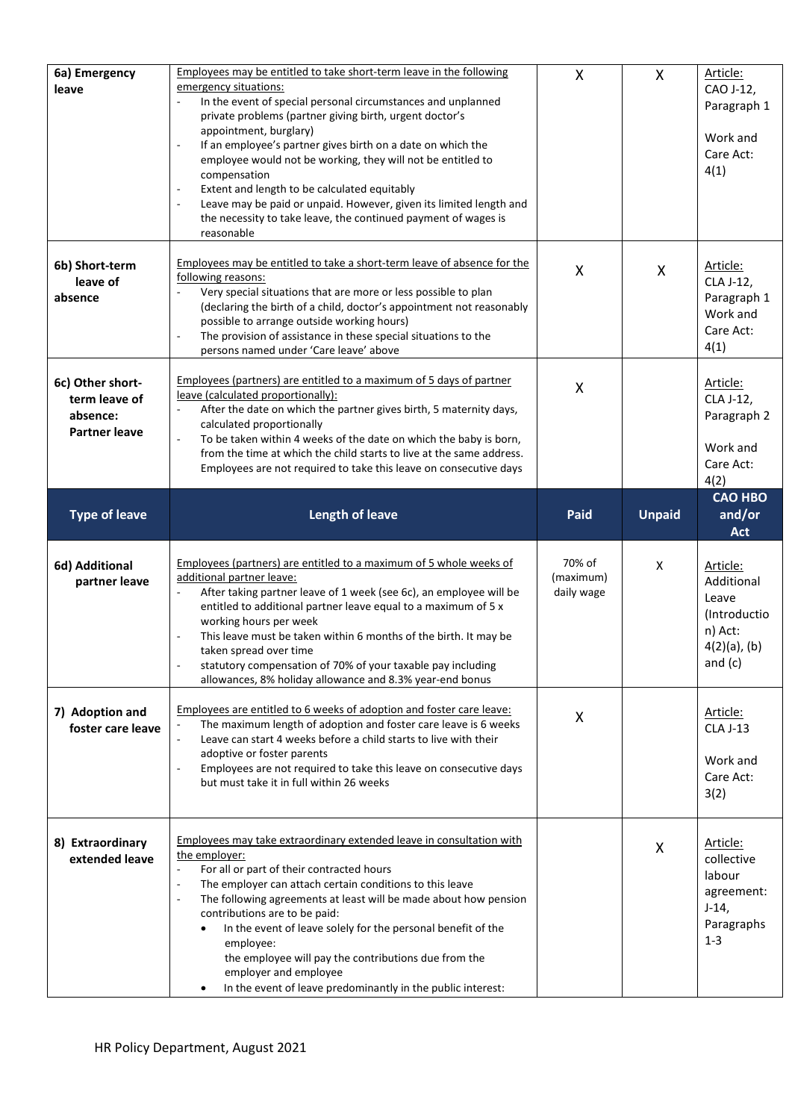| 6a) Emergency<br>leave                                                | Employees may be entitled to take short-term leave in the following<br>emergency situations:<br>In the event of special personal circumstances and unplanned<br>private problems (partner giving birth, urgent doctor's<br>appointment, burglary)<br>If an employee's partner gives birth on a date on which the<br>÷,<br>employee would not be working, they will not be entitled to<br>compensation<br>Extent and length to be calculated equitably<br>Leave may be paid or unpaid. However, given its limited length and<br>÷,<br>the necessity to take leave, the continued payment of wages is<br>reasonable | X                                 | X             | Article:<br>CAO J-12,<br>Paragraph 1<br>Work and<br>Care Act:<br>4(1)                      |
|-----------------------------------------------------------------------|-------------------------------------------------------------------------------------------------------------------------------------------------------------------------------------------------------------------------------------------------------------------------------------------------------------------------------------------------------------------------------------------------------------------------------------------------------------------------------------------------------------------------------------------------------------------------------------------------------------------|-----------------------------------|---------------|--------------------------------------------------------------------------------------------|
| 6b) Short-term<br>leave of<br>absence                                 | Employees may be entitled to take a short-term leave of absence for the<br>following reasons:<br>Very special situations that are more or less possible to plan<br>÷,<br>(declaring the birth of a child, doctor's appointment not reasonably<br>possible to arrange outside working hours)<br>The provision of assistance in these special situations to the<br>÷,<br>persons named under 'Care leave' above                                                                                                                                                                                                     | X                                 | X             | Article:<br>CLA J-12,<br>Paragraph 1<br>Work and<br>Care Act:<br>4(1)                      |
| 6c) Other short-<br>term leave of<br>absence:<br><b>Partner leave</b> | Employees (partners) are entitled to a maximum of 5 days of partner<br>leave (calculated proportionally):<br>After the date on which the partner gives birth, 5 maternity days,<br>L.<br>calculated proportionally<br>To be taken within 4 weeks of the date on which the baby is born,<br>$\overline{a}$<br>from the time at which the child starts to live at the same address.<br>Employees are not required to take this leave on consecutive days                                                                                                                                                            | X                                 |               | Article:<br>CLA J-12,<br>Paragraph 2<br>Work and<br>Care Act:<br>4(2)                      |
| <b>Type of leave</b>                                                  | Length of leave                                                                                                                                                                                                                                                                                                                                                                                                                                                                                                                                                                                                   | Paid                              | <b>Unpaid</b> | <b>CAO HBO</b><br>and/or<br><b>Act</b>                                                     |
|                                                                       |                                                                                                                                                                                                                                                                                                                                                                                                                                                                                                                                                                                                                   |                                   |               |                                                                                            |
| 6d) Additional<br>partner leave                                       | Employees (partners) are entitled to a maximum of 5 whole weeks of<br>additional partner leave:<br>After taking partner leave of 1 week (see 6c), an employee will be<br>÷,<br>entitled to additional partner leave equal to a maximum of 5 x<br>working hours per week<br>This leave must be taken within 6 months of the birth. It may be<br>taken spread over time<br>statutory compensation of 70% of your taxable pay including<br>allowances, 8% holiday allowance and 8.3% year-end bonus                                                                                                                  | 70% of<br>(maximum)<br>daily wage | X             | Article:<br>Additional<br>Leave<br>(Introductio<br>n) Act:<br>$4(2)(a)$ , (b)<br>and $(c)$ |
| 7) Adoption and<br>foster care leave                                  | Employees are entitled to 6 weeks of adoption and foster care leave:<br>The maximum length of adoption and foster care leave is 6 weeks<br>Leave can start 4 weeks before a child starts to live with their<br>adoptive or foster parents<br>Employees are not required to take this leave on consecutive days<br>÷,<br>but must take it in full within 26 weeks                                                                                                                                                                                                                                                  | X                                 |               | Article:<br>$CLA$ J-13<br>Work and<br>Care Act:<br>3(2)                                    |